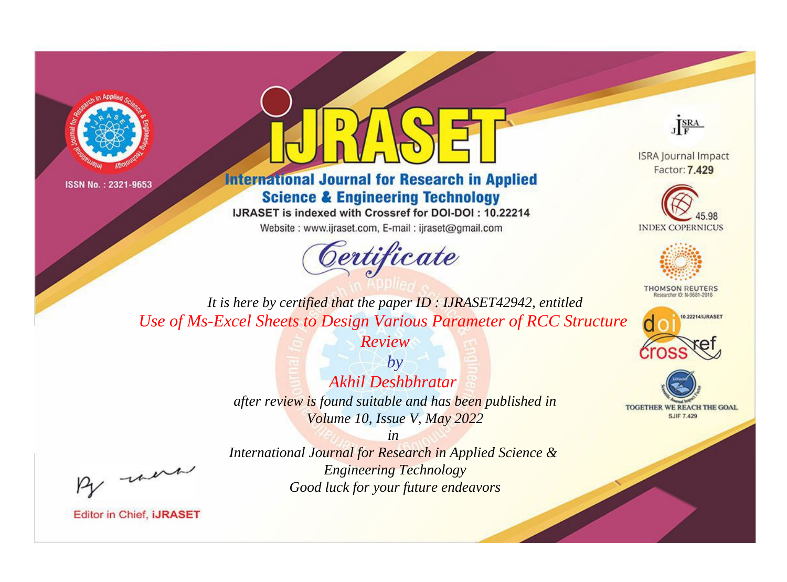



**International Journal for Research in Applied Science & Engineering Technology** 

IJRASET is indexed with Crossref for DOI-DOI: 10.22214

Website: www.ijraset.com, E-mail: ijraset@gmail.com





**ISRA Journal Impact** Factor: 7.429





**THOMSON REUTERS** 



TOGETHER WE REACH THE GOAL **SJIF 7.429** 

*It is here by certified that the paper ID : IJRASET42942, entitled Use of Ms-Excel Sheets to Design Various Parameter of RCC Structure* 

*Review*

*by Akhil Deshbhratar after review is found suitable and has been published in Volume 10, Issue V, May 2022*

, were

*International Journal for Research in Applied Science & Engineering Technology Good luck for your future endeavors*

*in*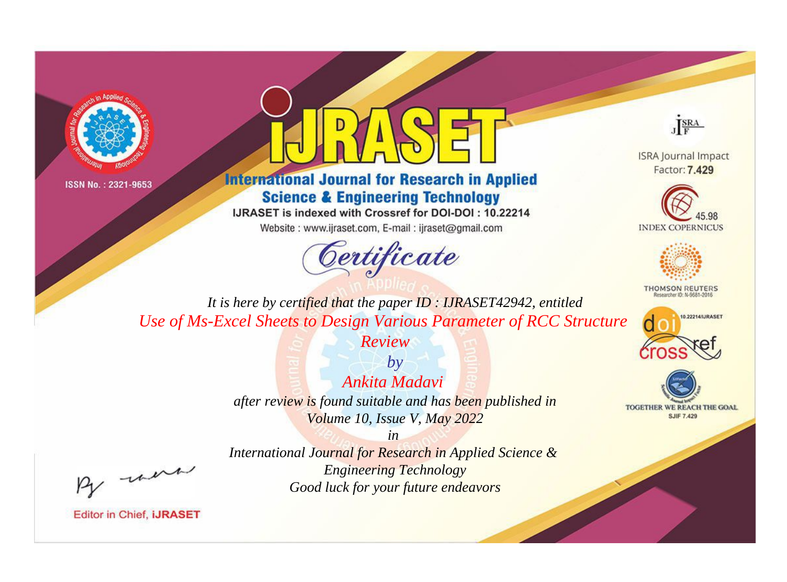



## **International Journal for Research in Applied Science & Engineering Technology**

IJRASET is indexed with Crossref for DOI-DOI: 10.22214

Website: www.ijraset.com, E-mail: ijraset@gmail.com



JERA

**ISRA Journal Impact** Factor: 7.429





**THOMSON REUTERS** 



TOGETHER WE REACH THE GOAL **SJIF 7.429** 

It is here by certified that the paper ID: IJRASET42942, entitled Use of Ms-Excel Sheets to Design Various Parameter of RCC Structure

Review

 $b\nu$ Ankita Madavi after review is found suitable and has been published in Volume 10, Issue V, May 2022

were

International Journal for Research in Applied Science & **Engineering Technology** Good luck for your future endeavors

 $in$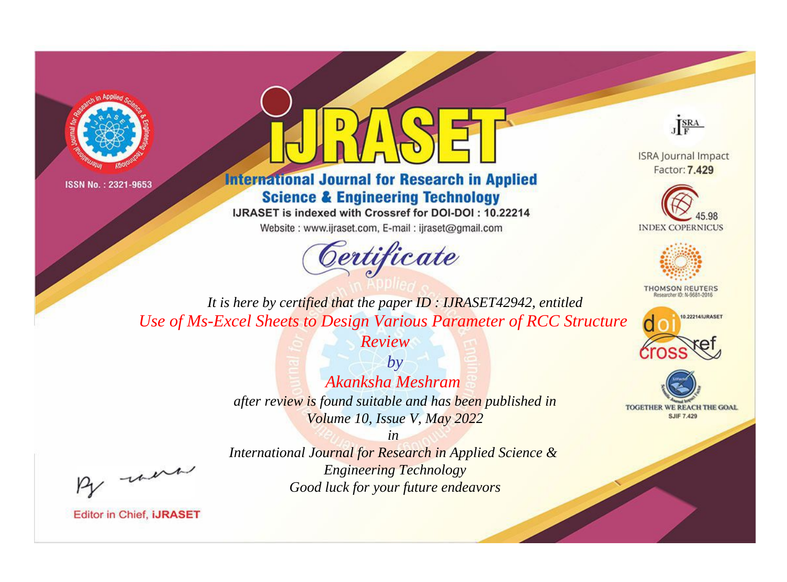



**International Journal for Research in Applied Science & Engineering Technology** 

IJRASET is indexed with Crossref for DOI-DOI: 10.22214

Website: www.ijraset.com, E-mail: ijraset@gmail.com





**ISRA Journal Impact** Factor: 7.429





**THOMSON REUTERS** 



TOGETHER WE REACH THE GOAL **SJIF 7.429** 

*It is here by certified that the paper ID : IJRASET42942, entitled Use of Ms-Excel Sheets to Design Various Parameter of RCC Structure* 

*Review*

*by Akanksha Meshram after review is found suitable and has been published in Volume 10, Issue V, May 2022*

, were

*International Journal for Research in Applied Science & Engineering Technology Good luck for your future endeavors*

*in*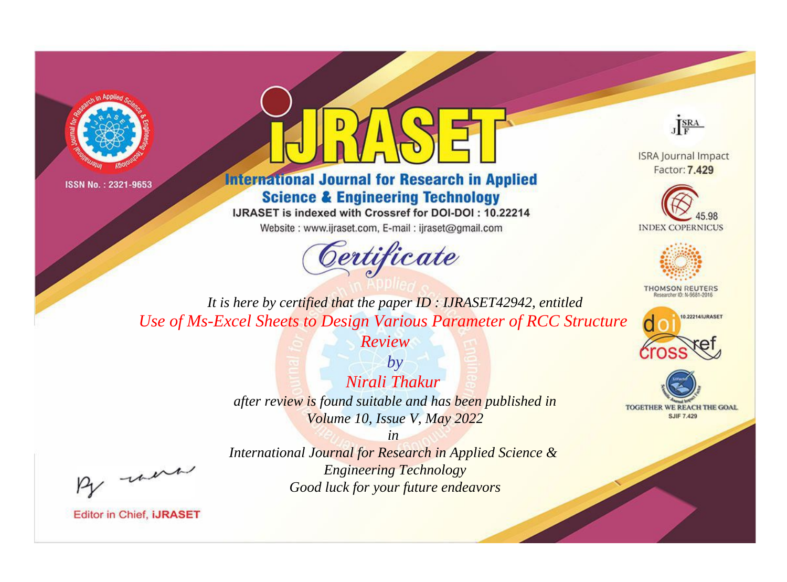



## **International Journal for Research in Applied Science & Engineering Technology**

IJRASET is indexed with Crossref for DOI-DOI: 10.22214

Website: www.ijraset.com, E-mail: ijraset@gmail.com





**ISRA Journal Impact** Factor: 7.429





**THOMSON REUTERS** 



TOGETHER WE REACH THE GOAL **SJIF 7.429** 

*It is here by certified that the paper ID : IJRASET42942, entitled Use of Ms-Excel Sheets to Design Various Parameter of RCC Structure* 

*Review*

*by Nirali Thakur after review is found suitable and has been published in Volume 10, Issue V, May 2022*

, un

*International Journal for Research in Applied Science & Engineering Technology Good luck for your future endeavors*

*in*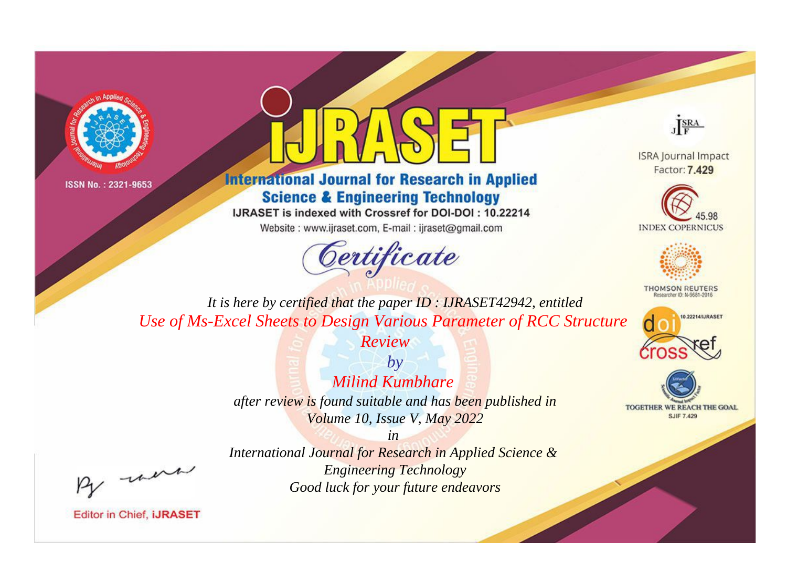



## **International Journal for Research in Applied Science & Engineering Technology**

IJRASET is indexed with Crossref for DOI-DOI: 10.22214

Website: www.ijraset.com, E-mail: ijraset@gmail.com





**ISRA Journal Impact** Factor: 7.429





**THOMSON REUTERS** 



TOGETHER WE REACH THE GOAL **SJIF 7.429** 

*It is here by certified that the paper ID : IJRASET42942, entitled Use of Ms-Excel Sheets to Design Various Parameter of RCC Structure* 

*Review*

*by Milind Kumbhare after review is found suitable and has been published in Volume 10, Issue V, May 2022*

, were

*International Journal for Research in Applied Science & Engineering Technology Good luck for your future endeavors*

*in*